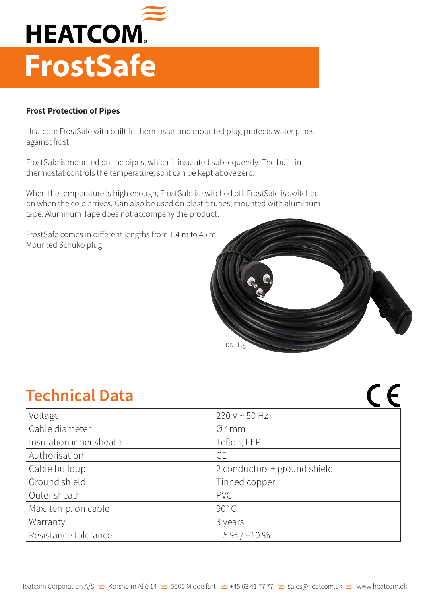

## **Frost Protection of Pipes**

Heatcom FrostSafe with built-in thermostat and mounted plug protects water pipes against frost.

FrostSafe is mounted on the pipes, which is insulated subsequently. The built-in thermostat controls the temperature, so it can be kept above zero.

When the temperature is high enough, FrostSafe is switched off. FrostSafe is switched on when the cold arrives. Can also be used on plastic tubes, mounted with aluminum tape. Aluminum Tape does not accompany the product.

FrostSafe comes in different lengths from 1.4 m to 45 m. Mounted Schuko plug.



 $C$  $C$ 

## **Technical Data**

| Voltage                 | 230 V ~ 50 Hz                |
|-------------------------|------------------------------|
| Cable diameter          | $Ø7$ mm                      |
| Insulation inner sheath | Teflon, FEP                  |
| Authorisation           | <b>CE</b>                    |
| Cable buildup           | 2 conductors + ground shield |
| Ground shield           | Tinned copper                |
| Outer sheath            | <b>PVC</b>                   |
| Max. temp. on cable     | 90 °C                        |
| Warranty                | 3 years                      |
| Resistance tolerance    | $-5\% / +10\%$               |